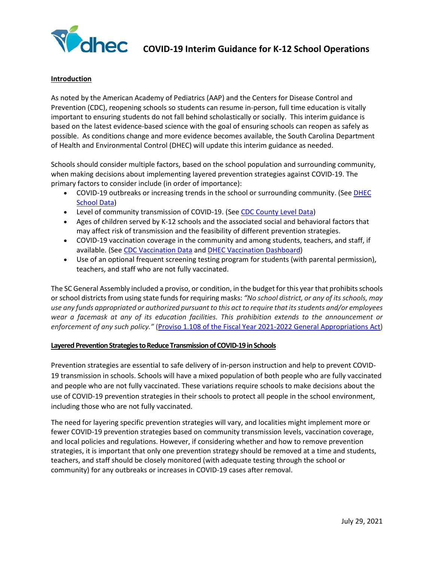

#### **Introduction**

As noted by the American Academy of Pediatrics (AAP) and the Centers for Disease Control and Prevention (CDC), reopening schools so students can resume in-person, full time education is vitally important to ensuring students do not fall behind scholastically or socially. This interim guidance is based on the latest evidence-based science with the goal of ensuring schools can reopen as safely as possible. As conditions change and more evidence becomes available, the South Carolina Department of Health and Environmental Control (DHEC) will update this interim guidance as needed.

Schools should consider multiple factors, based on the school population and surrounding community, when making decisions about implementing layered prevention strategies against COVID-19. The primary factors to consider include (in order of importance):

- COVID-19 outbreaks or increasing trends in the school or surrounding community. (See DHEC School Data)
- Level of community transmission of COVID-19. (See [CDC County Level Data\)](https://covid.cdc.gov/covid-data-tracker/#county-view)
- Ages of children served by K-12 schools and the associated social and behavioral factors that may affect risk of transmission and the feasibility of different prevention strategies.
- COVID-19 vaccination coverage in the community and among students, teachers, and staff, if available. (See [CDC Vaccination Data](https://covid.cdc.gov/covid-data-tracker/#vaccinations-county-view) and [DHEC Vaccination Dashboard\)](https://scdhec.gov/covid19/covid-19-vaccination-dashboard)
- Use of an optional frequent screening testing program for students (with parental permission), teachers, and staff who are not fully vaccinated.

The SC General Assembly included a proviso, or condition, in the budget for this year that prohibitsschools or school districts from using state funds for requiring masks: *"No school district, or any of its schools, may use any funds appropriated or authorized pursuant to this act to require that its students and/or employees wear a facemask at any of its education facilities. This prohibition extends to the announcement or enforcement of any such policy."* [\(Proviso 1.108 of the Fiscal Year 2021-2022 General Appropriations Act\)](https://www.scstatehouse.gov/sess124_2021-2022/appropriations2021/tap1b.htm#s1)

#### **Layered Prevention Strategies to Reduce Transmission of COVID-19 in Schools**

Prevention strategies are essential to safe delivery of in-person instruction and help to prevent COVID-19 transmission in schools. Schools will have a mixed population of both people who are fully vaccinated and people who are not fully vaccinated. These variations require schools to make decisions about the use of COVID-19 prevention strategies in their schools to protect all people in the school environment, including those who are not fully vaccinated.

The need for layering specific prevention strategies will vary, and localities might implement more or fewer COVID-19 prevention strategies based on community transmission levels, vaccination coverage, and local policies and regulations. However, if considering whether and how to remove prevention strategies, it is important that only one prevention strategy should be removed at a time and students, teachers, and staff should be closely monitored (with adequate testing through the school or community) for any outbreaks or increases in COVID-19 cases after removal.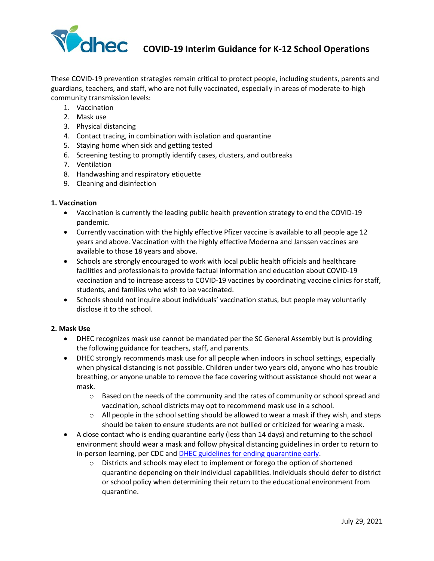

These COVID-19 prevention strategies remain critical to protect people, including students, parents and guardians, teachers, and staff, who are not fully vaccinated, especially in areas of moderate-to-high community transmission levels:

- 1. Vaccination
- 2. Mask use
- 3. Physical distancing
- 4. Contact tracing, in combination with isolation and quarantine
- 5. Staying home when sick and getting tested
- 6. Screening testing to promptly identify cases, clusters, and outbreaks
- 7. Ventilation
- 8. Handwashing and respiratory etiquette
- 9. Cleaning and disinfection

#### **1. Vaccination**

- Vaccination is currently the leading public health prevention strategy to end the COVID-19 pandemic.
- Currently vaccination with the highly effective Pfizer vaccine is available to all people age 12 years and above. Vaccination with the highly effective Moderna and Janssen vaccines are available to those 18 years and above.
- Schools are strongly encouraged to work with local public health officials and healthcare facilities and professionals to provide factual information and education about COVID-19 vaccination and to increase access to COVID-19 vaccines by coordinating vaccine clinics for staff, students, and families who wish to be vaccinated.
- Schools should not inquire about individuals' vaccination status, but people may voluntarily disclose it to the school.

# **2. Mask Use**

- DHEC recognizes mask use cannot be mandated per the SC General Assembly but is providing the following guidance for teachers, staff, and parents.
- DHEC strongly recommends mask use for all people when indoors in school settings, especially when physical distancing is not possible. Children under two years old, anyone who has trouble breathing, or anyone unable to remove the face covering without assistance should not wear a mask.
	- $\circ$  Based on the needs of the community and the rates of community or school spread and vaccination, school districts may opt to recommend mask use in a school.
	- $\circ$  All people in the school setting should be allowed to wear a mask if they wish, and steps should be taken to ensure students are not bullied or criticized for wearing a mask.
- A close contact who is ending quarantine early (less than 14 days) and returning to the school environment should wear a mask and follow physical distancing guidelines in order to return to in-person learning, per CDC an[d DHEC guidelines for ending quarantine early.](https://scdhec.gov/covid19/options-shorten-quarantine-covid-19)
	- o Districts and schools may elect to implement or forego the option of shortened quarantine depending on their individual capabilities. Individuals should defer to district or school policy when determining their return to the educational environment from quarantine.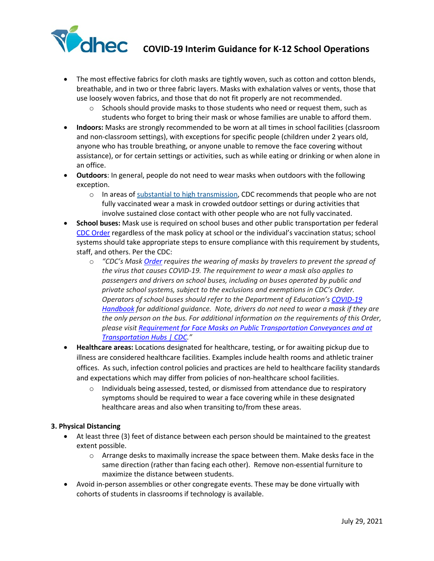

- The most [effective fabrics for cloth masks](https://www.cdc.gov/coronavirus/2019-ncov/prevent-getting-sick/mask-fit-and-filtration.html) are tightly woven, such as cotton and cotton blends, breathable, and in two or three fabric layers. Masks with exhalation valves or vents, those that use loosely woven fabrics, and those that do not fit properly are not recommended.
	- $\circ$  Schools should provide masks to those students who need or request them, such as students who forget to bring their mask or whose families are unable to afford them.
- **Indoors:** Masks are strongly recommended to be worn at all times in school facilities (classroom and non-classroom settings), with exceptions for specific people (children under 2 years old, anyone who has trouble breathing, or anyone unable to remove the face covering without assistance), or for certain settings or activities, such as while eating or drinking or when alone in an office.
- **Outdoors**: In general, people do not need to wear masks when outdoors with the following exception.
	- $\circ$  In areas of [substantial to high transmission,](https://covid.cdc.gov/covid-data-tracker/#county-view) CDC recommends that people who are not fully vaccinated wear a mask in crowded outdoor settings or during activities that involve sustained close contact with other people who are not fully vaccinated.
- **School buses:** Mask use is required on school buses and other public transportation per federal [CDC Order](https://www.cdc.gov/quarantine/masks/mask-travel-guidance.html) regardless of the mask policy at school or the individual's vaccination status; school systems should take appropriate steps to ensure compliance with this requirement by students, staff, and others. Per the CDC:
	- o *"CDC's Mask [Order](https://www.cdc.gov/quarantine/masks/mask-travel-guidance.html) requires the wearing of masks by travelers to prevent the spread of the virus that causes COVID-19. The requirement to wear a mask also applies to passengers and drivers on school buses, including on buses operated by public and private school systems, subject to the exclusions and exemptions in CDC's Order. Operators of school buses should refer to the Department of Education's [COVID-19](https://www2.ed.gov/documents/coronavirus/reopening.pdf) [Handbook](https://www2.ed.gov/documents/coronavirus/reopening.pdf) for additional guidance. Note, drivers do not need to wear a mask if they are the only person on the bus. For additional information on the requirements of this Order, please visit Requirement for Face Masks on Public [Transportation](https://www.cdc.gov/coronavirus/2019-ncov/travelers/face-masks-public-transportation.html) Conveyances and at [Transportation](https://www.cdc.gov/coronavirus/2019-ncov/travelers/face-masks-public-transportation.html) Hubs | CDC."*
- **Healthcare areas:** Locations designated for healthcare, testing, or for awaiting pickup due to illness are considered healthcare facilities. Examples include health rooms and athletic trainer offices. As such, infection control policies and practices are held to healthcare facility standards and expectations which may differ from policies of non-healthcare school facilities.
	- $\circ$  Individuals being assessed, tested, or dismissed from attendance due to respiratory symptoms should be required to wear a face covering while in these designated healthcare areas and also when transiting to/from these areas.

# **3. Physical Distancing**

- At least three (3) feet of distance between each person should be maintained to the greatest extent possible.
	- o Arrange desks to maximally increase the space between them. Make desks face in the same direction (rather than facing each other). Remove non-essential furniture to maximize the distance between students.
- Avoid in-person assemblies or other congregate events. These may be done virtually with cohorts of students in classrooms if technology is available.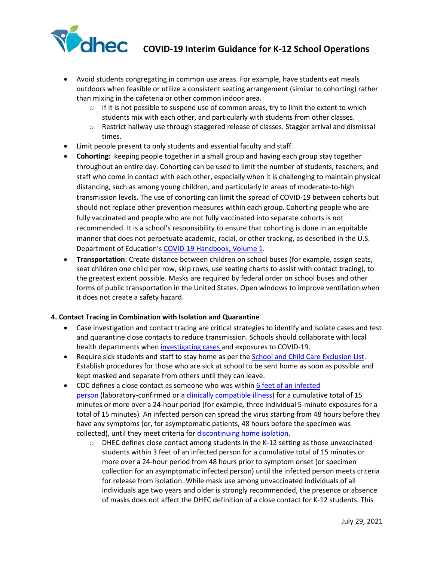

- Avoid students congregating in common use areas. For example, have students eat meals outdoors when feasible or utilize a consistent seating arrangement (similar to cohorting) rather than mixing in the cafeteria or other common indoor area.
	- $\circ$  If it is not possible to suspend use of common areas, try to limit the extent to which students mix with each other, and particularly with students from other classes.
	- o Restrict hallway use through staggered release of classes. Stagger arrival and dismissal times.
- Limit people present to only students and essential faculty and staff.
- **Cohorting:** keeping people together in a small group and having each group stay together throughout an entire day. Cohorting can be used to limit the number of students, teachers, and staff who come in contact with each other, especially when it is challenging to maintain physical distancing, such as among young children, and particularly in areas of moderate-to-high transmission levels. The use of cohorting can limit the spread of COVID-19 between cohorts but should not replace other prevention measures within each group. Cohorting people who are fully vaccinated and people who are not fully vaccinated into separate cohorts is not recommended. It is a school's responsibility to ensure that cohorting is done in an equitable manner that does not perpetuate academic, racial, or other tracking, as described in the U.S. Department of Education's [COVID-19 Handbook, Volume 1.](https://www.ed.gov/news/press-releases/us-department-education-covid-19-handbook-volume-1-strategies-safely-reopening-elementary-and-secondary-schools)
- **Transportation**: Create distance between children on school buses (for example, assign seats, seat children one child per row, skip rows, use seating charts to assist with contact tracing), to the greatest extent possible. Masks are required by federal order on school buses and other forms of public transportation in the United States. Open windows to improve ventilation when it does not create a safety hazard.

# **4. Contact Tracing in Combination with Isolation and Quarantine**

- Case investigation and contact tracing are critical strategies to identify and isolate cases and test and quarantine close contacts to reduce transmission. Schools should collaborate with local health departments whe[n investigating cases](https://www.cdc.gov/coronavirus/2019-ncov/community/schools-childcare/contact-tracing.html) and exposures to COVID-19.
- Require sick students and staff to stay home as per th[e School and Child Care Exclusion List.](https://www.scdhec.gov/health/child-teen-health/school-exclusion) Establish procedures for those who are sick at school to be sent home as soon as possible and kept masked and separate from others until they can leave.
- CDC defines a close contact as someone who was within 6 feet of an infected [person](https://www.cdc.gov/coronavirus/2019-ncov/prevent-getting-sick/prevention.html#stay6ft) (laboratory-confirmed or a [clinically compatible illness\)](https://www.cdc.gov/coronavirus/2019-ncov/hcp/clinical-guidance-management-patients.html) for a cumulative total of 15 minutes or more over a 24-hour period (for example*,* three individual 5-minute exposures for a total of 15 minutes)*.* An infected person can spread the virus starting from 48 hours before they have any symptoms (or, for asymptomatic patients, 48 hours before the specimen was collected), until they meet criteria for [discontinuing home isolation.](https://www.cdc.gov/coronavirus/2019-ncov/hcp/duration-isolation.html)
	- $\circ$  DHEC defines close contact among students in the K-12 setting as those unvaccinated students within 3 feet of an infected person for a cumulative total of 15 minutes or more over a 24-hour period from 48 hours prior to symptom onset (or specimen collection for an asymptomatic infected person) until the infected person meets criteria for release from isolation. While mask use among unvaccinated individuals of all individuals age two years and older is strongly recommended, the presence or absence of masks does not affect the DHEC definition of a close contact for K-12 students. This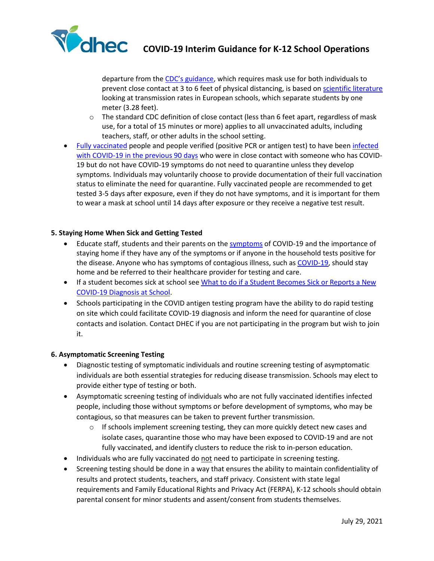

departure from the [CDC's guidance,](https://www.cdc.gov/coronavirus/2019-ncov/php/contact-tracing/contact-tracing-plan/appendix.html#contact) which requires mask use for both individuals to prevent close contact at 3 to 6 feet of physical distancing, is based on [scientific literature](https://www.cdc.gov/coronavirus/2019-ncov/science/science-briefs/transmission_k_12_schools.html#in-person) looking at transmission rates in European schools, which separate students by one meter (3.28 feet).

- $\circ$  The standard CDC definition of close contact (less than 6 feet apart, regardless of mask use, for a total of 15 minutes or more) applies to all unvaccinated adults, including teachers, staff, or other adults in the school setting.
- [Fully vaccinated](https://www.cdc.gov/coronavirus/2019-ncov/vaccines/fully-vaccinated-guidance.html) people and people verified (positive PCR or antigen test) to have been infected [with COVID-19 in the previous 90 days](https://www.cdc.gov/coronavirus/2019-ncov/if-you-are-sick/quarantine.html) who were in close contact with someone who has COVID-19 but do not have COVID-19 symptoms do not need to quarantine unless they develop symptoms. Individuals may voluntarily choose to provide documentation of their full vaccination status to eliminate the need for quarantine. Fully vaccinated people are recommended to get tested 3-5 days after exposure, even if they do not have symptoms, and it is important for them to wear a mask at school until 14 days after exposure or they receive a negative test result.

# **5. Staying Home When Sick and Getting Tested**

- Educate staff, students and their parents on the [symptoms](https://www.cdc.gov/coronavirus/2019-ncov/symptoms-testing/symptoms.html) of COVID-19 and the importance of staying home if they have any of the symptoms or if anyone in the household tests positive for the disease. Anyone who has symptoms of contagious illness, such as [COVID-19,](https://www.cdc.gov/coronavirus/2019-ncov/symptoms-testing/symptoms.html) should stay home and be referred to their healthcare provider for testing and care.
- If a student becomes sick at school see What to do if a Student Becomes Sick or Reports a New [COVID-19 Diagnosis at School.](https://www.cdc.gov/coronavirus/2019-ncov/community/schools-childcare/student-becomes-sick-diagnosis-flowchart.html)
- Schools participating in the COVID antigen testing program have the ability to do rapid testing on site which could facilitate COVID-19 diagnosis and inform the need for quarantine of close contacts and isolation. Contact DHEC if you are not participating in the program but wish to join it.

#### **6. Asymptomatic Screening Testing**

- Diagnostic testing of symptomatic individuals and routine screening testing of asymptomatic individuals are both essential strategies for reducing disease transmission. Schools may elect to provide either type of testing or both.
- Asymptomatic screening testing of individuals who are not fully vaccinated identifies infected people, including those without symptoms or before development of symptoms, who may be contagious, so that measures can be taken to prevent further transmission.
	- $\circ$  If schools implement screening testing, they can more quickly detect new cases and isolate cases, quarantine those who may have been exposed to COVID-19 and are not fully vaccinated, and identify clusters to reduce the risk to in-person education.
- Individuals who are fully vaccinated do not need to participate in screening testing.
- Screening testing should be done in a way that ensures the ability to maintain confidentiality of results and protect students, teachers, and staff privacy. Consistent with state legal requirements and Family Educational Rights and Privacy Act (FERPA), K-12 schools should obtain parental consent for minor students and assent/consent from students themselves.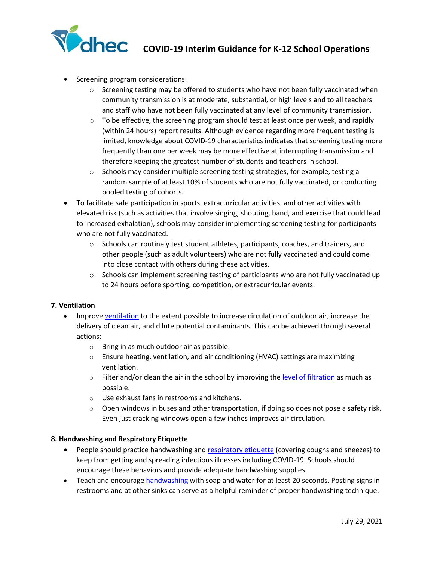

- Screening program considerations:
	- $\circ$  Screening testing may be offered to students who have not been fully vaccinated when community transmission is at moderate, substantial, or high levels and to all teachers and staff who have not been fully vaccinated at any level of community transmission.
	- $\circ$  To be effective, the screening program should test at least once per week, and rapidly (within 24 hours) report results. Although evidence regarding more frequent testing is limited, knowledge about COVID-19 characteristics indicates that screening testing more frequently than one per week may be more effective at interrupting transmission and therefore keeping the greatest number of students and teachers in school.
	- $\circ$  Schools may consider multiple screening testing strategies, for example, testing a random sample of at least 10% of students who are not fully vaccinated, or conducting pooled testing of cohorts.
- To facilitate safe participation in sports, extracurricular activities, and other activities with elevated risk (such as activities that involve singing, shouting, band, and exercise that could lead to increased exhalation), schools may consider implementing screening testing for participants who are not fully vaccinated.
	- $\circ$  Schools can routinely test student athletes, participants, coaches, and trainers, and other people (such as adult volunteers) who are not fully vaccinated and could come into close contact with others during these activities.
	- o Schools can implement screening testing of participants who are not fully vaccinated up to 24 hours before sporting, competition, or extracurricular events.

# **7. Ventilation**

- Improve [ventilation](https://www.cdc.gov/coronavirus/2019-ncov/community/schools-childcare/ventilation.html) to the extent possible to increase circulation of outdoor air, increase the delivery of clean air, and dilute potential contaminants. This can be achieved through several actions:
	- o Bring in as much outdoor air as possible.
	- $\circ$  Ensure heating, ventilation, and air conditioning (HVAC) settings are maximizing ventilation.
	- $\circ$  Filter and/or clean the air in the school by improving the [level of filtration](https://www.cdc.gov/coronavirus/2019-ncov/community/ventilation.html) as much as possible.
	- o Use exhaust fans in restrooms and kitchens.
	- $\circ$  Open windows in buses and other transportation, if doing so does not pose a safety risk. Even just cracking windows open a few inches improves air circulation.

# **8. Handwashing and Respiratory Etiquette**

- People should practice handwashing and [respiratory etiquette](https://www.cdc.gov/healthywater/hygiene/etiquette/coughing_sneezing.html) (covering coughs and sneezes) to keep from getting and spreading infectious illnesses including COVID-19. Schools should encourage these behaviors and provide adequate handwashing supplies.
- Teach and encourage [handwashing](https://www.cdc.gov/handwashing/when-how-handwashing.html) with soap and water for at least 20 seconds. Posting signs in restrooms and at other sinks can serve as a helpful reminder of proper handwashing technique.